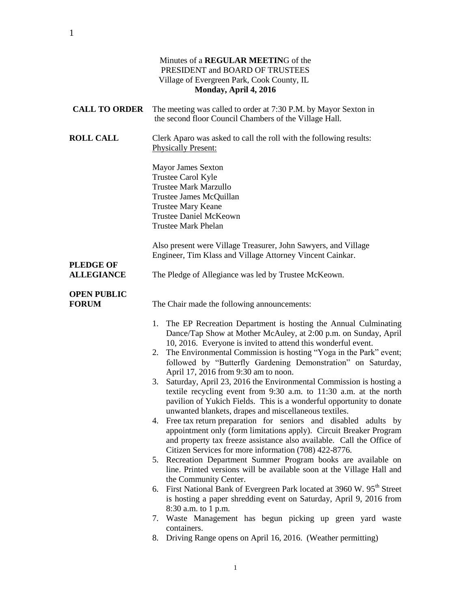|                                    | Minutes of a REGULAR MEETING of the<br>PRESIDENT and BOARD OF TRUSTEES<br>Village of Evergreen Park, Cook County, IL<br>Monday, April 4, 2016                                                                                                                                                                                                                                                                                                                                                                                                                                                                                                                                                                                                                                                                                                                                                                                                                                                                                                                                                                                                                                                                                                                                                                                                                                                                                                                    |
|------------------------------------|------------------------------------------------------------------------------------------------------------------------------------------------------------------------------------------------------------------------------------------------------------------------------------------------------------------------------------------------------------------------------------------------------------------------------------------------------------------------------------------------------------------------------------------------------------------------------------------------------------------------------------------------------------------------------------------------------------------------------------------------------------------------------------------------------------------------------------------------------------------------------------------------------------------------------------------------------------------------------------------------------------------------------------------------------------------------------------------------------------------------------------------------------------------------------------------------------------------------------------------------------------------------------------------------------------------------------------------------------------------------------------------------------------------------------------------------------------------|
| <b>CALL TO ORDER</b>               | The meeting was called to order at 7:30 P.M. by Mayor Sexton in<br>the second floor Council Chambers of the Village Hall.                                                                                                                                                                                                                                                                                                                                                                                                                                                                                                                                                                                                                                                                                                                                                                                                                                                                                                                                                                                                                                                                                                                                                                                                                                                                                                                                        |
| <b>ROLL CALL</b>                   | Clerk Aparo was asked to call the roll with the following results:<br><b>Physically Present:</b>                                                                                                                                                                                                                                                                                                                                                                                                                                                                                                                                                                                                                                                                                                                                                                                                                                                                                                                                                                                                                                                                                                                                                                                                                                                                                                                                                                 |
|                                    | <b>Mayor James Sexton</b><br>Trustee Carol Kyle<br><b>Trustee Mark Marzullo</b><br>Trustee James McQuillan<br>Trustee Mary Keane<br><b>Trustee Daniel McKeown</b><br><b>Trustee Mark Phelan</b>                                                                                                                                                                                                                                                                                                                                                                                                                                                                                                                                                                                                                                                                                                                                                                                                                                                                                                                                                                                                                                                                                                                                                                                                                                                                  |
| <b>PLEDGE OF</b>                   | Also present were Village Treasurer, John Sawyers, and Village<br>Engineer, Tim Klass and Village Attorney Vincent Cainkar.                                                                                                                                                                                                                                                                                                                                                                                                                                                                                                                                                                                                                                                                                                                                                                                                                                                                                                                                                                                                                                                                                                                                                                                                                                                                                                                                      |
| <b>ALLEGIANCE</b>                  | The Pledge of Allegiance was led by Trustee McKeown.                                                                                                                                                                                                                                                                                                                                                                                                                                                                                                                                                                                                                                                                                                                                                                                                                                                                                                                                                                                                                                                                                                                                                                                                                                                                                                                                                                                                             |
| <b>OPEN PUBLIC</b><br><b>FORUM</b> | The Chair made the following announcements:                                                                                                                                                                                                                                                                                                                                                                                                                                                                                                                                                                                                                                                                                                                                                                                                                                                                                                                                                                                                                                                                                                                                                                                                                                                                                                                                                                                                                      |
|                                    | The EP Recreation Department is hosting the Annual Culminating<br>1.<br>Dance/Tap Show at Mother McAuley, at 2:00 p.m. on Sunday, April<br>10, 2016. Everyone is invited to attend this wonderful event.<br>2. The Environmental Commission is hosting "Yoga in the Park" event;<br>followed by "Butterfly Gardening Demonstration" on Saturday,<br>April 17, 2016 from 9:30 am to noon.<br>Saturday, April 23, 2016 the Environmental Commission is hosting a<br>3.<br>textile recycling event from 9:30 a.m. to 11:30 a.m. at the north<br>pavilion of Yukich Fields. This is a wonderful opportunity to donate<br>unwanted blankets, drapes and miscellaneous textiles.<br>4. Free tax return preparation for seniors and disabled adults by<br>appointment only (form limitations apply). Circuit Breaker Program<br>and property tax freeze assistance also available. Call the Office of<br>Citizen Services for more information (708) 422-8776.<br>5. Recreation Department Summer Program books are available on<br>line. Printed versions will be available soon at the Village Hall and<br>the Community Center.<br>6. First National Bank of Evergreen Park located at 3960 W. 95 <sup>th</sup> Street<br>is hosting a paper shredding event on Saturday, April 9, 2016 from<br>8:30 a.m. to 1 p.m.<br>7. Waste Management has begun picking up green yard waste<br>containers.<br>Driving Range opens on April 16, 2016. (Weather permitting)<br>8. |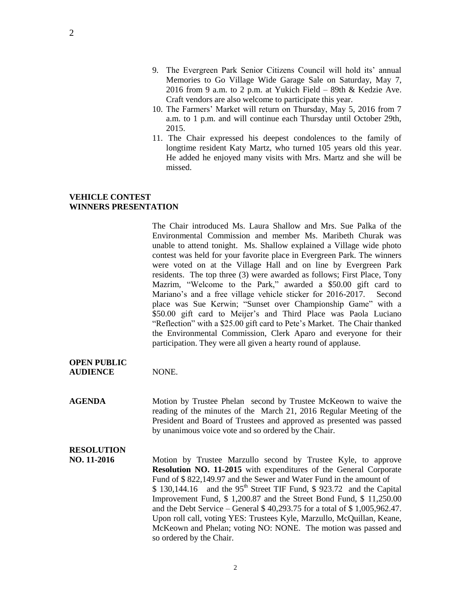- 10. The Farmers' Market will return on Thursday, May 5, 2016 from 7 a.m. to 1 p.m. and will continue each Thursday until October 29th, 2015.
- 11. The Chair expressed his deepest condolences to the family of longtime resident Katy Martz, who turned 105 years old this year. He added he enjoyed many visits with Mrs. Martz and she will be missed.

### **VEHICLE CONTEST WINNERS PRESENTATION**

The Chair introduced Ms. Laura Shallow and Mrs. Sue Palka of the Environmental Commission and member Ms. Maribeth Churak was unable to attend tonight. Ms. Shallow explained a Village wide photo contest was held for your favorite place in Evergreen Park. The winners were voted on at the Village Hall and on line by Evergreen Park residents. The top three (3) were awarded as follows; First Place, Tony Mazrim, "Welcome to the Park," awarded a \$50.00 gift card to Mariano's and a free village vehicle sticker for 2016-2017. Second place was Sue Kerwin; "Sunset over Championship Game" with a \$50.00 gift card to Meijer's and Third Place was Paola Luciano "Reflection" with a \$25.00 gift card to Pete's Market. The Chair thanked the Environmental Commission, Clerk Aparo and everyone for their participation. They were all given a hearty round of applause.

**OPEN PUBLIC AUDIENCE** NONE.

**AGENDA** Motion by Trustee Phelan second by Trustee McKeown to waive the reading of the minutes of the March 21, 2016 Regular Meeting of the President and Board of Trustees and approved as presented was passed by unanimous voice vote and so ordered by the Chair.

# **RESOLUTION**

**NO. 11-2016** Motion by Trustee Marzullo second by Trustee Kyle, to approve **Resolution NO. 11-2015** with expenditures of the General Corporate Fund of \$ 822,149.97 and the Sewer and Water Fund in the amount of  $$ 130,144.16$  and the 95<sup>th</sup> Street TIF Fund,  $$ 923.72$  and the Capital Improvement Fund, \$ 1,200.87 and the Street Bond Fund, \$ 11,250.00 and the Debt Service – General \$ 40,293.75 for a total of \$ 1,005,962.47. Upon roll call, voting YES: Trustees Kyle, Marzullo, McQuillan, Keane, McKeown and Phelan; voting NO: NONE. The motion was passed and so ordered by the Chair.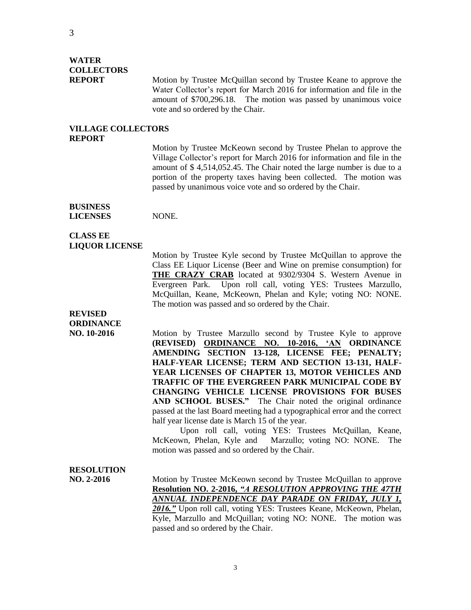# **WATER COLLECTORS**

**REPORT** Motion by Trustee McQuillan second by Trustee Keane to approve the Water Collector's report for March 2016 for information and file in the amount of \$700,296.18. The motion was passed by unanimous voice vote and so ordered by the Chair.

### **VILLAGE COLLECTORS REPORT**

Motion by Trustee McKeown second by Trustee Phelan to approve the Village Collector's report for March 2016 for information and file in the amount of \$ 4,514,052.45. The Chair noted the large number is due to a portion of the property taxes having been collected. The motion was passed by unanimous voice vote and so ordered by the Chair.

#### **BUSINESS LICENSES** NONE.

## **CLASS EE LIQUOR LICENSE**

Motion by Trustee Kyle second by Trustee McQuillan to approve the Class EE Liquor License (Beer and Wine on premise consumption) for **THE CRAZY CRAB** located at 9302/9304 S. Western Avenue in Evergreen Park. Upon roll call, voting YES: Trustees Marzullo, McQuillan, Keane, McKeown, Phelan and Kyle; voting NO: NONE. The motion was passed and so ordered by the Chair.

## **REVISED ORDINANCE**

**NO. 10-2016** Motion by Trustee Marzullo second by Trustee Kyle to approve **(REVISED) ORDINANCE NO. 10-2016, 'AN ORDINANCE AMENDING SECTION 13-128, LICENSE FEE; PENALTY; HALF-YEAR LICENSE; TERM AND SECTION 13-131, HALF-YEAR LICENSES OF CHAPTER 13, MOTOR VEHICLES AND TRAFFIC OF THE EVERGREEN PARK MUNICIPAL CODE BY CHANGING VEHICLE LICENSE PROVISIONS FOR BUSES AND SCHOOL BUSES."** The Chair noted the original ordinance passed at the last Board meeting had a typographical error and the correct half year license date is March 15 of the year.

Upon roll call, voting YES: Trustees McQuillan, Keane, McKeown, Phelan, Kyle and Marzullo; voting NO: NONE. The motion was passed and so ordered by the Chair.

# **RESOLUTION**

**NO. 2-2016** Motion by Trustee McKeown second by Trustee McQuillan to approve **Resolution NO. 2-2016,** *"A RESOLUTION APPROVING THE 47TH ANNUAL INDEPENDENCE DAY PARADE ON FRIDAY, JULY 1, 2016."* Upon roll call, voting YES: Trustees Keane, McKeown, Phelan, Kyle, Marzullo and McQuillan; voting NO: NONE. The motion was passed and so ordered by the Chair.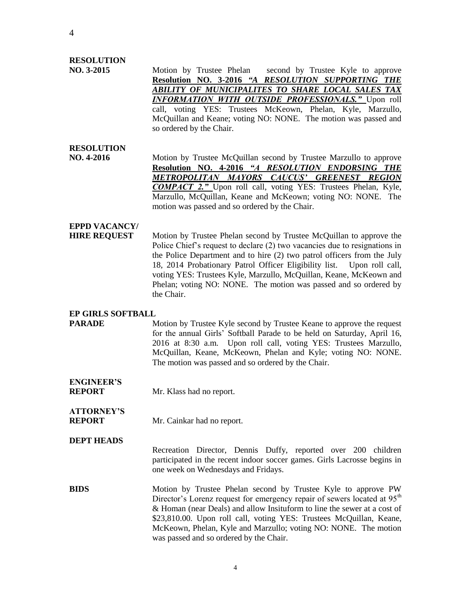### **RESOLUTION**

 **NO. 3-2015** Motion by Trustee Phelan second by Trustee Kyle to approve **Resolution NO. 3-2016** *"A RESOLUTION SUPPORTING THE ABILITY OF MUNICIPALITES TO SHARE LOCAL SALES TAX INFORMATION WITH OUTSIDE PROFESSIONALS."* Upon roll call, voting YES: Trustees McKeown, Phelan, Kyle, Marzullo, McQuillan and Keane; voting NO: NONE. The motion was passed and so ordered by the Chair.

## **RESOLUTION**

**NO. 4-2016** Motion by Trustee McQuillan second by Trustee Marzullo to approve **Resolution NO. 4-2016** *"A RESOLUTION ENDORSING THE METROPOLITAN MAYORS CAUCUS' GREENEST REGION COMPACT 2."* Upon roll call, voting YES: Trustees Phelan, Kyle, Marzullo, McQuillan, Keane and McKeown; voting NO: NONE. The motion was passed and so ordered by the Chair.

# **EPPD VACANCY/**

**HIRE REQUEST** Motion by Trustee Phelan second by Trustee McQuillan to approve the Police Chief's request to declare (2) two vacancies due to resignations in the Police Department and to hire (2) two patrol officers from the July 18, 2014 Probationary Patrol Officer Eligibility list. Upon roll call, voting YES: Trustees Kyle, Marzullo, McQuillan, Keane, McKeown and Phelan; voting NO: NONE. The motion was passed and so ordered by the Chair.

## **EP GIRLS SOFTBALL**

**PARADE** Motion by Trustee Kyle second by Trustee Keane to approve the request for the annual Girls' Softball Parade to be held on Saturday, April 16, 2016 at 8:30 a.m. Upon roll call, voting YES: Trustees Marzullo, McQuillan, Keane, McKeown, Phelan and Kyle; voting NO: NONE. The motion was passed and so ordered by the Chair.

**ENGINEER'S REPORT** Mr. Klass had no report.

# **ATTORNEY'S**

**REPORT** Mr. Cainkar had no report.

### **DEPT HEADS**

Recreation Director, Dennis Duffy, reported over 200 children participated in the recent indoor soccer games. Girls Lacrosse begins in one week on Wednesdays and Fridays.

**BIDS** Motion by Trustee Phelan second by Trustee Kyle to approve PW Director's Lorenz request for emergency repair of sewers located at  $95<sup>th</sup>$ & Homan (near Deals) and allow Insituform to line the sewer at a cost of \$23,810.00. Upon roll call, voting YES: Trustees McQuillan, Keane, McKeown, Phelan, Kyle and Marzullo; voting NO: NONE. The motion was passed and so ordered by the Chair.